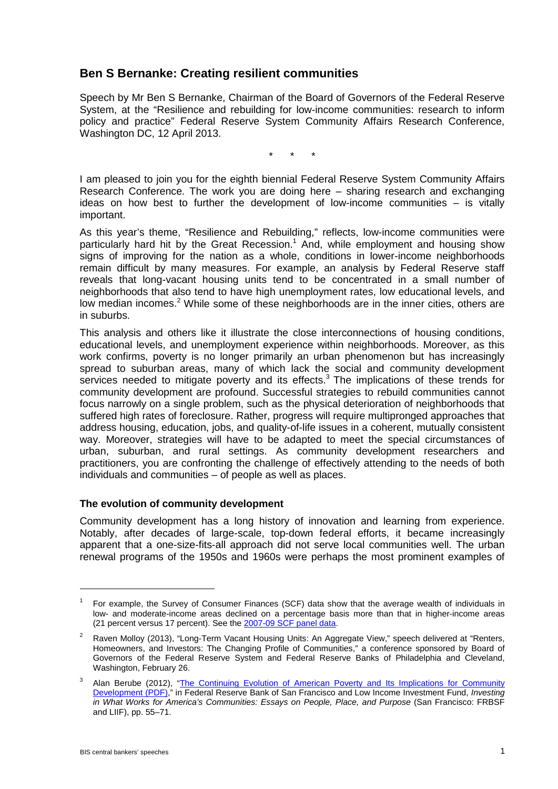# **Ben S Bernanke: Creating resilient communities**

Speech by Mr Ben S Bernanke, Chairman of the Board of Governors of the Federal Reserve System, at the "Resilience and rebuilding for low-income communities: research to inform policy and practice" Federal Reserve System Community Affairs Research Conference, Washington DC, 12 April 2013.

\* \* \*

I am pleased to join you for the eighth biennial Federal Reserve System Community Affairs Research Conference. The work you are doing here – sharing research and exchanging ideas on how best to further the development of low-income communities – is vitally important.

As this year's theme, "Resilience and Rebuilding," reflects, low-income communities were particularly hard hit by the Great Recession.<sup>1</sup> And, while employment and housing show signs of improving for the nation as a whole, conditions in lower-income neighborhoods remain difficult by many measures. For example, an analysis by Federal Reserve staff reveals that long-vacant housing units tend to be concentrated in a small number of neighborhoods that also tend to have high unemployment rates, low educational levels, and low median incomes.<sup>2</sup> While some of these neighborhoods are in the inner cities, others are in suburbs.

This analysis and others like it illustrate the close interconnections of housing conditions, educational levels, and unemployment experience within neighborhoods. Moreover, as this work confirms, poverty is no longer primarily an urban phenomenon but has increasingly spread to suburban areas, many of which lack the social and community development services needed to mitigate poverty and its effects. $3$  The implications of these trends for community development are profound. Successful strategies to rebuild communities cannot focus narrowly on a single problem, such as the physical deterioration of neighborhoods that suffered high rates of foreclosure. Rather, progress will require multipronged approaches that address housing, education, jobs, and quality-of-life issues in a coherent, mutually consistent way. Moreover, strategies will have to be adapted to meet the special circumstances of urban, suburban, and rural settings. As community development researchers and practitioners, you are confronting the challenge of effectively attending to the needs of both individuals and communities – of people as well as places.

### **The evolution of community development**

Community development has a long history of innovation and learning from experience. Notably, after decades of large-scale, top-down federal efforts, it became increasingly apparent that a one-size-fits-all approach did not serve local communities well. The urban renewal programs of the 1950s and 1960s were perhaps the most prominent examples of

<sup>1</sup> For example, the Survey of Consumer Finances (SCF) data show that the average wealth of individuals in low- and moderate-income areas declined on a percentage basis more than that in higher-income areas (21 percent versus 17 percent). See the [2007-09 SCF panel data.](http://www.federalreserve.gov/econresdata/scf/scf_2009p.htm)

<sup>&</sup>lt;sup>2</sup> Raven Molloy (2013), "Long-Term Vacant Housing Units: An Aggregate View," speech delivered at "Renters, Homeowners, and Investors: The Changing Profile of Communities," a conference sponsored by Board of Governors of the Federal Reserve System and Federal Reserve Banks of Philadelphia and Cleveland, Washington, February 26.

<sup>&</sup>lt;sup>3</sup> Alan Berube (2012), "The Continuing Evolution of American Poverty and Its Implications for Community [Development \(PDF\),](http://www.whatworksforamerica.org/pdf/berube.pdf)" in Federal Reserve Bank of San Francisco and Low Income Investment Fund, *Investing*  in What Works for America's Communities: Essays on People, Place, and Purpose (San Francisco: FRBSF and LIIF), pp. 55–71.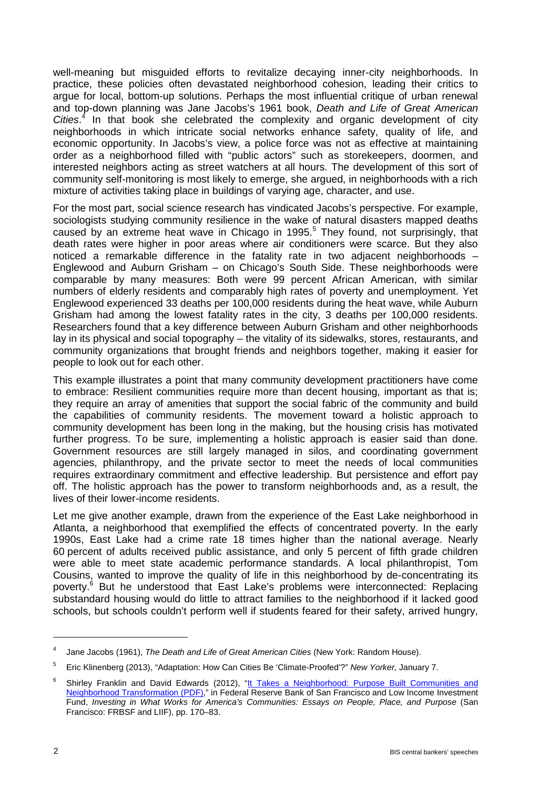well-meaning but misguided efforts to revitalize decaying inner-city neighborhoods. In practice, these policies often devastated neighborhood cohesion, leading their critics to argue for local, bottom-up solutions. Perhaps the most influential critique of urban renewal and top-down planning was Jane Jacobs's 1961 book, *Death and Life of Great American Cities*. <sup>4</sup> In that book she celebrated the complexity and organic development of city neighborhoods in which intricate social networks enhance safety, quality of life, and economic opportunity. In Jacobs's view, a police force was not as effective at maintaining order as a neighborhood filled with "public actors" such as storekeepers, doormen, and interested neighbors acting as street watchers at all hours. The development of this sort of community self-monitoring is most likely to emerge, she argued, in neighborhoods with a rich mixture of activities taking place in buildings of varying age, character, and use.

For the most part, social science research has vindicated Jacobs's perspective. For example, sociologists studying community resilience in the wake of natural disasters mapped deaths caused by an extreme heat wave in Chicago in 1995.<sup>5</sup> They found, not surprisingly, that death rates were higher in poor areas where air conditioners were scarce. But they also noticed a remarkable difference in the fatality rate in two adjacent neighborhoods – Englewood and Auburn Grisham – on Chicago's South Side. These neighborhoods were comparable by many measures: Both were 99 percent African American, with similar numbers of elderly residents and comparably high rates of poverty and unemployment. Yet Englewood experienced 33 deaths per 100,000 residents during the heat wave, while Auburn Grisham had among the lowest fatality rates in the city, 3 deaths per 100,000 residents. Researchers found that a key difference between Auburn Grisham and other neighborhoods lay in its physical and social topography – the vitality of its sidewalks, stores, restaurants, and community organizations that brought friends and neighbors together, making it easier for people to look out for each other.

This example illustrates a point that many community development practitioners have come to embrace: Resilient communities require more than decent housing, important as that is; they require an array of amenities that support the social fabric of the community and build the capabilities of community residents. The movement toward a holistic approach to community development has been long in the making, but the housing crisis has motivated further progress. To be sure, implementing a holistic approach is easier said than done. Government resources are still largely managed in silos, and coordinating government agencies, philanthropy, and the private sector to meet the needs of local communities requires extraordinary commitment and effective leadership. But persistence and effort pay off. The holistic approach has the power to transform neighborhoods and, as a result, the lives of their lower-income residents.

Let me give another example, drawn from the experience of the East Lake neighborhood in Atlanta, a neighborhood that exemplified the effects of concentrated poverty. In the early 1990s, East Lake had a crime rate 18 times higher than the national average. Nearly 60 percent of adults received public assistance, and only 5 percent of fifth grade children were able to meet state academic performance standards. A local philanthropist, Tom Cousins, wanted to improve the quality of life in this neighborhood by de-concentrating its poverty.<sup>6</sup> But he understood that East Lake's problems were interconnected: Replacing substandard housing would do little to attract families to the neighborhood if it lacked good schools, but schools couldn't perform well if students feared for their safety, arrived hungry,

<sup>4</sup> Jane Jacobs (1961), *The Death and Life of Great American Cities* (New York: Random House).

<sup>5</sup> Eric Klinenberg (2013), "Adaptation: How Can Cities Be 'Climate-Proofed'?" *New Yorker,* January 7.

<sup>&</sup>lt;sup>6</sup> Shirley Franklin and David Edwards (2012), "It Takes a Neighborhood: Purpose Built Communities and [Neighborhood Transformation \(PDF\),](http://www.whatworksforamerica.org/pdf/franklin.pdf)" in Federal Reserve Bank of San Francisco and Low Income Investment Fund, *Investing in What Works for America's Communities: Essays on People, Place, and Purpose* (San Francisco: FRBSF and LIIF), pp. 170–83.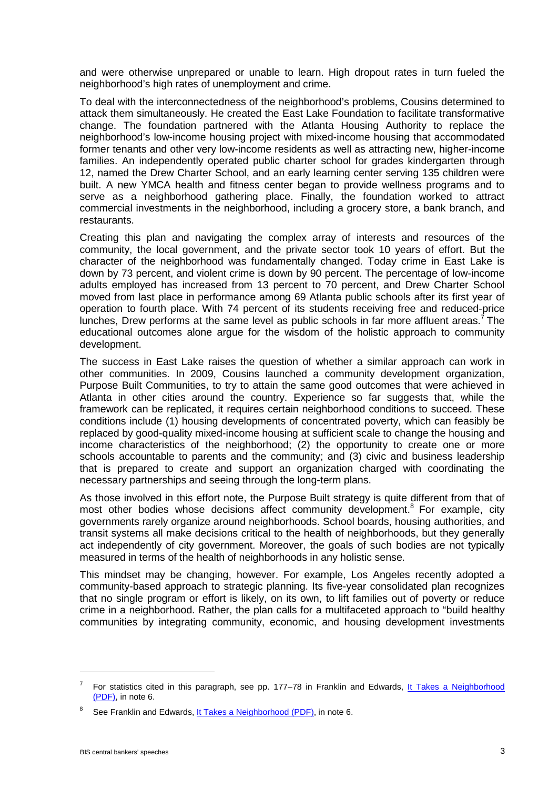and were otherwise unprepared or unable to learn. High dropout rates in turn fueled the neighborhood's high rates of unemployment and crime.

To deal with the interconnectedness of the neighborhood's problems, Cousins determined to attack them simultaneously. He created the East Lake Foundation to facilitate transformative change. The foundation partnered with the Atlanta Housing Authority to replace the neighborhood's low-income housing project with mixed-income housing that accommodated former tenants and other very low-income residents as well as attracting new, higher-income families. An independently operated public charter school for grades kindergarten through 12, named the Drew Charter School, and an early learning center serving 135 children were built. A new YMCA health and fitness center began to provide wellness programs and to serve as a neighborhood gathering place. Finally, the foundation worked to attract commercial investments in the neighborhood, including a grocery store, a bank branch, and restaurants.

Creating this plan and navigating the complex array of interests and resources of the community, the local government, and the private sector took 10 years of effort. But the character of the neighborhood was fundamentally changed. Today crime in East Lake is down by 73 percent, and violent crime is down by 90 percent. The percentage of low-income adults employed has increased from 13 percent to 70 percent, and Drew Charter School moved from last place in performance among 69 Atlanta public schools after its first year of operation to fourth place. With 74 percent of its students receiving free and reduced-price lunches, Drew performs at the same level as public schools in far more affluent areas.<sup>7</sup> The educational outcomes alone argue for the wisdom of the holistic approach to community development.

The success in East Lake raises the question of whether a similar approach can work in other communities. In 2009, Cousins launched a community development organization, Purpose Built Communities, to try to attain the same good outcomes that were achieved in Atlanta in other cities around the country. Experience so far suggests that, while the framework can be replicated, it requires certain neighborhood conditions to succeed. These conditions include (1) housing developments of concentrated poverty, which can feasibly be replaced by good-quality mixed-income housing at sufficient scale to change the housing and income characteristics of the neighborhood; (2) the opportunity to create one or more schools accountable to parents and the community; and (3) civic and business leadership that is prepared to create and support an organization charged with coordinating the necessary partnerships and seeing through the long-term plans.

As those involved in this effort note, the Purpose Built strategy is quite different from that of most other bodies whose decisions affect community development.<sup>8</sup> For example, city governments rarely organize around neighborhoods. School boards, housing authorities, and transit systems all make decisions critical to the health of neighborhoods, but they generally act independently of city government. Moreover, the goals of such bodies are not typically measured in terms of the health of neighborhoods in any holistic sense.

This mindset may be changing, however. For example, Los Angeles recently adopted a community-based approach to strategic planning. Its five-year consolidated plan recognizes that no single program or effort is likely, on its own, to lift families out of poverty or reduce crime in a neighborhood. Rather, the plan calls for a multifaceted approach to "build healthy communities by integrating community, economic, and housing development investments

<sup>7</sup> For statistics cited in this paragraph, see pp. 177–78 in Franklin and Edwards, [It Takes a Neighborhood](http://www.whatworksforamerica.org/pdf/franklin.pdf)  [\(PDF\),](http://www.whatworksforamerica.org/pdf/franklin.pdf) in note 6.

See Franklin and Edwards, [It Takes a Neighborhood \(PDF\),](http://www.whatworksforamerica.org/pdf/franklin.pdf) in note 6.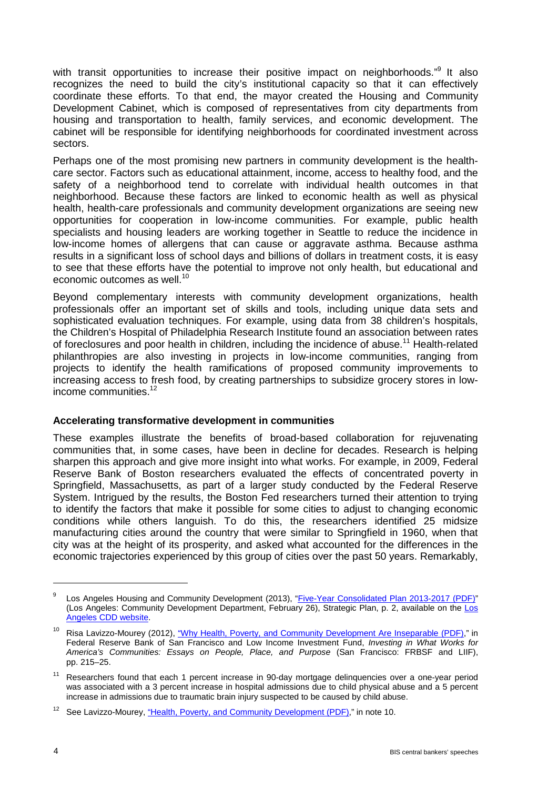with transit opportunities to increase their positive impact on neighborhoods."<sup>9</sup> It also recognizes the need to build the city's institutional capacity so that it can effectively coordinate these efforts. To that end, the mayor created the Housing and Community Development Cabinet, which is composed of representatives from city departments from housing and transportation to health, family services, and economic development. The cabinet will be responsible for identifying neighborhoods for coordinated investment across sectors.

Perhaps one of the most promising new partners in community development is the healthcare sector. Factors such as educational attainment, income, access to healthy food, and the safety of a neighborhood tend to correlate with individual health outcomes in that neighborhood. Because these factors are linked to economic health as well as physical health, health-care professionals and community development organizations are seeing new opportunities for cooperation in low-income communities. For example, public health specialists and housing leaders are working together in Seattle to reduce the incidence in low-income homes of allergens that can cause or aggravate asthma. Because asthma results in a significant loss of school days and billions of dollars in treatment costs, it is easy to see that these efforts have the potential to improve not only health, but educational and economic outcomes as well.<sup>10</sup>

Beyond complementary interests with community development organizations, health professionals offer an important set of skills and tools, including unique data sets and sophisticated evaluation techniques. For example, using data from 38 children's hospitals, the Children's Hospital of Philadelphia Research Institute found an association between rates of foreclosures and poor health in children, including the incidence of abuse.<sup>11</sup> Health-related philanthropies are also investing in projects in low-income communities, ranging from projects to identify the health ramifications of proposed community improvements to increasing access to fresh food, by creating partnerships to subsidize grocery stores in lowincome communities.<sup>12</sup>

### **Accelerating transformative development in communities**

These examples illustrate the benefits of broad-based collaboration for rejuvenating communities that, in some cases, have been in decline for decades. Research is helping sharpen this approach and give more insight into what works. For example, in 2009, Federal Reserve Bank of Boston researchers evaluated the effects of concentrated poverty in Springfield, Massachusetts, as part of a larger study conducted by the Federal Reserve System. Intrigued by the results, the Boston Fed researchers turned their attention to trying to identify the factors that make it possible for some cities to adjust to changing economic conditions while others languish. To do this, the researchers identified 25 midsize manufacturing cities around the country that were similar to Springfield in 1960, when that city was at the height of its prosperity, and asked what accounted for the differences in the economic trajectories experienced by this group of cities over the past 50 years. Remarkably,

<sup>&</sup>lt;sup>9</sup> Los Angeles Housing and Community Development (2013), ["Five-Year Consolidated Plan 2013-2017 \(PDF\)"](http://cdd.lacity.org/pdfs/conplan39/CP39ActionPlan_StrategicPlan_Jan2013Draft_revised.pdf#zoom=75) (Los Angeles: Community Development Department, February 26), Strategic Plan, p. 2, available on the [Los](http://cdd.lacity.org/home_report_39ConPlan.html)  [Angeles CDD website.](http://cdd.lacity.org/home_report_39ConPlan.html)

<sup>&</sup>lt;sup>10</sup> Risa Lavizzo-Mourey (2012), ["Why Health, Poverty, and Community Development Are Inseparable \(PDF\),](http://www.whatworksforamerica.org/pdf/lavizzo-mourey.pdf)" in Federal Reserve Bank of San Francisco and Low Income Investment Fund, *Investing in What Works for America's Communities: Essays on People, Place, and Purpose* (San Francisco: FRBSF and LIIF), pp. 215–25.

<sup>&</sup>lt;sup>11</sup> Researchers found that each 1 percent increase in 90-day mortgage delinquencies over a one-year period was associated with a 3 percent increase in hospital admissions due to child physical abuse and a 5 percent increase in admissions due to traumatic brain injury suspected to be caused by child abuse.

<sup>&</sup>lt;sup>12</sup> See Lavizzo-Mourey, ["Health, Poverty, and Community Development \(PDF\),](http://www.whatworksforamerica.org/pdf/lavizzo-mourey.pdf)" in note 10.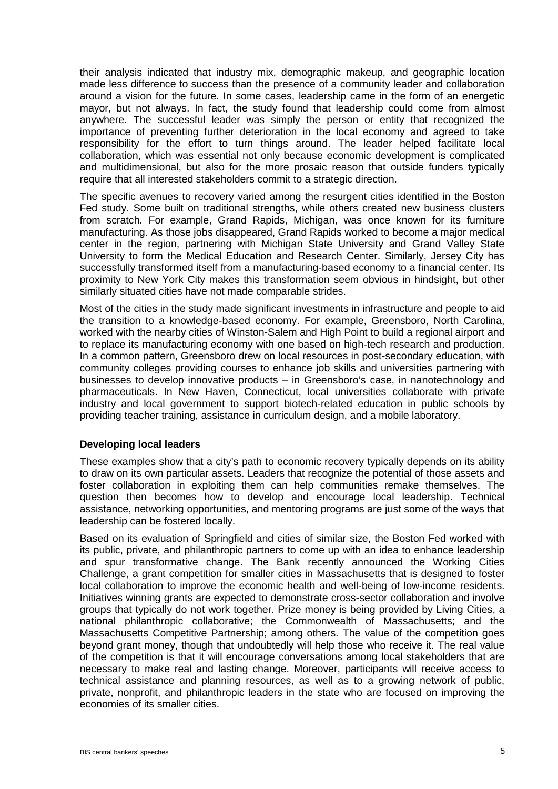their analysis indicated that industry mix, demographic makeup, and geographic location made less difference to success than the presence of a community leader and collaboration around a vision for the future. In some cases, leadership came in the form of an energetic mayor, but not always. In fact, the study found that leadership could come from almost anywhere. The successful leader was simply the person or entity that recognized the importance of preventing further deterioration in the local economy and agreed to take responsibility for the effort to turn things around. The leader helped facilitate local collaboration, which was essential not only because economic development is complicated and multidimensional, but also for the more prosaic reason that outside funders typically require that all interested stakeholders commit to a strategic direction.

The specific avenues to recovery varied among the resurgent cities identified in the Boston Fed study. Some built on traditional strengths, while others created new business clusters from scratch. For example, Grand Rapids, Michigan, was once known for its furniture manufacturing. As those jobs disappeared, Grand Rapids worked to become a major medical center in the region, partnering with Michigan State University and Grand Valley State University to form the Medical Education and Research Center. Similarly, Jersey City has successfully transformed itself from a manufacturing-based economy to a financial center. Its proximity to New York City makes this transformation seem obvious in hindsight, but other similarly situated cities have not made comparable strides.

Most of the cities in the study made significant investments in infrastructure and people to aid the transition to a knowledge-based economy. For example, Greensboro, North Carolina, worked with the nearby cities of Winston-Salem and High Point to build a regional airport and to replace its manufacturing economy with one based on high-tech research and production. In a common pattern, Greensboro drew on local resources in post-secondary education, with community colleges providing courses to enhance job skills and universities partnering with businesses to develop innovative products – in Greensboro's case, in nanotechnology and pharmaceuticals. In New Haven, Connecticut, local universities collaborate with private industry and local government to support biotech-related education in public schools by providing teacher training, assistance in curriculum design, and a mobile laboratory.

# **Developing local leaders**

These examples show that a city's path to economic recovery typically depends on its ability to draw on its own particular assets. Leaders that recognize the potential of those assets and foster collaboration in exploiting them can help communities remake themselves. The question then becomes how to develop and encourage local leadership. Technical assistance, networking opportunities, and mentoring programs are just some of the ways that leadership can be fostered locally.

Based on its evaluation of Springfield and cities of similar size, the Boston Fed worked with its public, private, and philanthropic partners to come up with an idea to enhance leadership and spur transformative change. The Bank recently announced the Working Cities Challenge, a grant competition for smaller cities in Massachusetts that is designed to foster local collaboration to improve the economic health and well-being of low-income residents. Initiatives winning grants are expected to demonstrate cross-sector collaboration and involve groups that typically do not work together. Prize money is being provided by Living Cities, a national philanthropic collaborative; the Commonwealth of Massachusetts; and the Massachusetts Competitive Partnership; among others. The value of the competition goes beyond grant money, though that undoubtedly will help those who receive it. The real value of the competition is that it will encourage conversations among local stakeholders that are necessary to make real and lasting change. Moreover, participants will receive access to technical assistance and planning resources, as well as to a growing network of public, private, nonprofit, and philanthropic leaders in the state who are focused on improving the economies of its smaller cities.